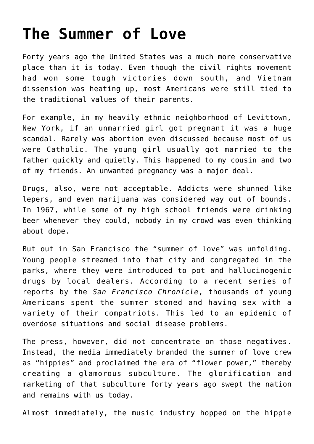### **[The Summer of Love](https://bernardgoldberg.com/the-summer-of-love-2/)**

Forty years ago the United States was a much more conservative place than it is today. Even though the civil rights movement had won some tough victories down south, and Vietnam dissension was heating up, most Americans were still tied to the traditional values of their parents.

For example, in my heavily ethnic neighborhood of Levittown, New York, if an unmarried girl got pregnant it was a huge scandal. Rarely was abortion even discussed because most of us were Catholic. The young girl usually got married to the father quickly and quietly. This happened to my cousin and two of my friends. An unwanted pregnancy was a major deal.

Drugs, also, were not acceptable. Addicts were shunned like lepers, and even marijuana was considered way out of bounds. In 1967, while some of my high school friends were drinking beer whenever they could, nobody in my crowd was even thinking about dope.

But out in San Francisco the "summer of love" was unfolding. Young people streamed into that city and congregated in the parks, where they were introduced to pot and hallucinogenic drugs by local dealers. According to a recent series of reports by the *San Francisco Chronicle*, thousands of young Americans spent the summer stoned and having sex with a variety of their compatriots. This led to an epidemic of overdose situations and social disease problems.

The press, however, did not concentrate on those negatives. Instead, the media immediately branded the summer of love crew as "hippies" and proclaimed the era of "flower power," thereby creating a glamorous subculture. The glorification and marketing of that subculture forty years ago swept the nation and remains with us today.

Almost immediately, the music industry hopped on the hippie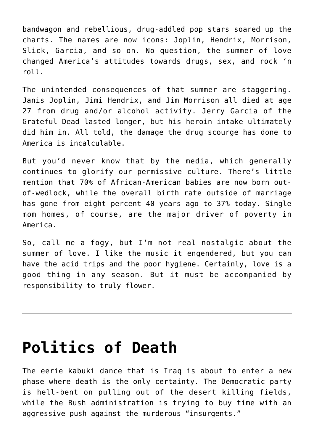bandwagon and rebellious, drug-addled pop stars soared up the charts. The names are now icons: Joplin, Hendrix, Morrison, Slick, Garcia, and so on. No question, the summer of love changed America's attitudes towards drugs, sex, and rock 'n roll.

The unintended consequences of that summer are staggering. Janis Joplin, Jimi Hendrix, and Jim Morrison all died at age 27 from drug and/or alcohol activity. Jerry Garcia of the Grateful Dead lasted longer, but his heroin intake ultimately did him in. All told, the damage the drug scourge has done to America is incalculable.

But you'd never know that by the media, which generally continues to glorify our permissive culture. There's little mention that 70% of African-American babies are now born outof-wedlock, while the overall birth rate outside of marriage has gone from eight percent 40 years ago to 37% today. Single mom homes, of course, are the major driver of poverty in America.

So, call me a fogy, but I'm not real nostalgic about the summer of love. I like the music it engendered, but you can have the acid trips and the poor hygiene. Certainly, love is a good thing in any season. But it must be accompanied by responsibility to truly flower.

#### **[Politics of Death](https://bernardgoldberg.com/bribing-bad-parents/)**

The eerie kabuki dance that is Iraq is about to enter a new phase where death is the only certainty. The Democratic party is hell-bent on pulling out of the desert killing fields, while the Bush administration is trying to buy time with an aggressive push against the murderous "insurgents."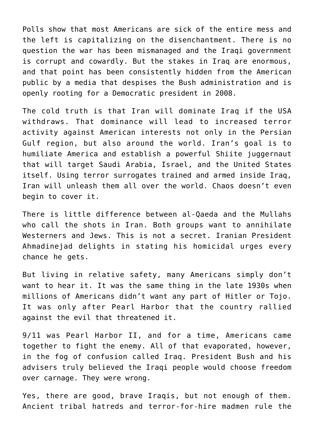Polls show that most Americans are sick of the entire mess and the left is capitalizing on the disenchantment. There is no question the war has been mismanaged and the Iraqi government is corrupt and cowardly. But the stakes in Iraq are enormous, and that point has been consistently hidden from the American public by a media that despises the Bush administration and is openly rooting for a Democratic president in 2008.

The cold truth is that Iran will dominate Iraq if the USA withdraws. That dominance will lead to increased terror activity against American interests not only in the Persian Gulf region, but also around the world. Iran's goal is to humiliate America and establish a powerful Shiite juggernaut that will target Saudi Arabia, Israel, and the United States itself. Using terror surrogates trained and armed inside Iraq, Iran will unleash them all over the world. Chaos doesn't even begin to cover it.

There is little difference between al-Qaeda and the Mullahs who call the shots in Iran. Both groups want to annihilate Westerners and Jews. This is not a secret. Iranian President Ahmadinejad delights in stating his homicidal urges every chance he gets.

But living in relative safety, many Americans simply don't want to hear it. It was the same thing in the late 1930s when millions of Americans didn't want any part of Hitler or Tojo. It was only after Pearl Harbor that the country rallied against the evil that threatened it.

9/11 was Pearl Harbor II, and for a time, Americans came together to fight the enemy. All of that evaporated, however, in the fog of confusion called Iraq. President Bush and his advisers truly believed the Iraqi people would choose freedom over carnage. They were wrong.

Yes, there are good, brave Iraqis, but not enough of them. Ancient tribal hatreds and terror-for-hire madmen rule the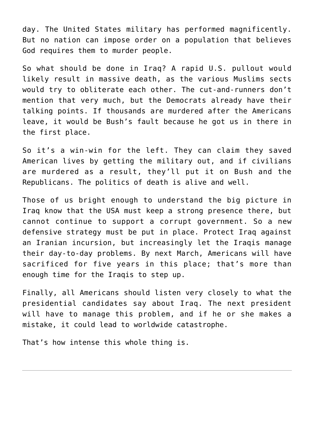day. The United States military has performed magnificently. But no nation can impose order on a population that believes God requires them to murder people.

So what should be done in Iraq? A rapid U.S. pullout would likely result in massive death, as the various Muslims sects would try to obliterate each other. The cut-and-runners don't mention that very much, but the Democrats already have their talking points. If thousands are murdered after the Americans leave, it would be Bush's fault because he got us in there in the first place.

So it's a win-win for the left. They can claim they saved American lives by getting the military out, and if civilians are murdered as a result, they'll put it on Bush and the Republicans. The politics of death is alive and well.

Those of us bright enough to understand the big picture in Iraq know that the USA must keep a strong presence there, but cannot continue to support a corrupt government. So a new defensive strategy must be put in place. Protect Iraq against an Iranian incursion, but increasingly let the Iraqis manage their day-to-day problems. By next March, Americans will have sacrificed for five years in this place; that's more than enough time for the Iraqis to step up.

Finally, all Americans should listen very closely to what the presidential candidates say about Iraq. The next president will have to manage this problem, and if he or she makes a mistake, it could lead to worldwide catastrophe.

That's how intense this whole thing is.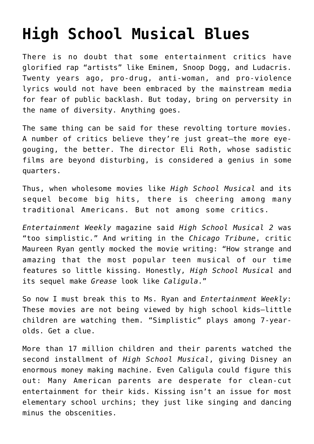## **[High School Musical Blues](https://bernardgoldberg.com/fixing-immigration/)**

There is no doubt that some entertainment critics have glorified rap "artists" like Eminem, Snoop Dogg, and Ludacris. Twenty years ago, pro-drug, anti-woman, and pro-violence lyrics would not have been embraced by the mainstream media for fear of public backlash. But today, bring on perversity in the name of diversity. Anything goes.

The same thing can be said for these revolting torture movies. A number of critics believe they're just great—the more eyegouging, the better. The director Eli Roth, whose sadistic films are beyond disturbing, is considered a genius in some quarters.

Thus, when wholesome movies like *High School Musical* and its sequel become big hits, there is cheering among many traditional Americans. But not among some critics.

*Entertainment Weekly* magazine said *High School Musical 2* was "too simplistic." And writing in the *Chicago Tribune*, critic Maureen Ryan gently mocked the movie writing: "How strange and amazing that the most popular teen musical of our time features so little kissing. Honestly, *High School Musical* and its sequel make *Grease* look like *Caligula*."

So now I must break this to Ms. Ryan and *Entertainment Weekly*: These movies are not being viewed by high school kids—little children are watching them. "Simplistic" plays among 7-yearolds. Get a clue.

More than 17 million children and their parents watched the second installment of *High School Musical*, giving Disney an enormous money making machine. Even Caligula could figure this out: Many American parents are desperate for clean-cut entertainment for their kids. Kissing isn't an issue for most elementary school urchins; they just like singing and dancing minus the obscenities.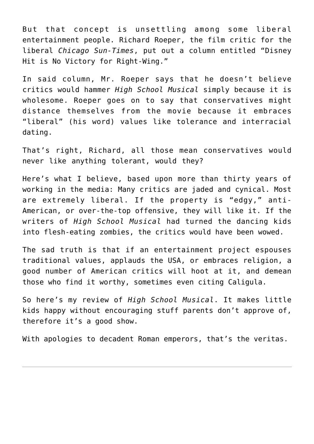But that concept is unsettling among some liberal entertainment people. Richard Roeper, the film critic for the liberal *Chicago Sun-Times*, put out a column entitled "Disney Hit is No Victory for Right-Wing."

In said column, Mr. Roeper says that he doesn't believe critics would hammer *High School Musical* simply because it is wholesome. Roeper goes on to say that conservatives might distance themselves from the movie because it embraces "liberal" (his word) values like tolerance and interracial dating.

That's right, Richard, all those mean conservatives would never like anything tolerant, would they?

Here's what I believe, based upon more than thirty years of working in the media: Many critics are jaded and cynical. Most are extremely liberal. If the property is "edgy," anti-American, or over-the-top offensive, they will like it. If the writers of *High School Musical* had turned the dancing kids into flesh-eating zombies, the critics would have been wowed.

The sad truth is that if an entertainment project espouses traditional values, applauds the USA, or embraces religion, a good number of American critics will hoot at it, and demean those who find it worthy, sometimes even citing Caligula.

So here's my review of *High School Musical*. It makes little kids happy without encouraging stuff parents don't approve of, therefore it's a good show.

With apologies to decadent Roman emperors, that's the veritas.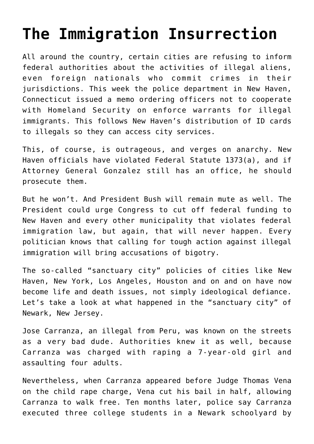# **[The Immigration Insurrection](https://bernardgoldberg.com/beyond-belief/)**

All around the country, certain cities are refusing to inform federal authorities about the activities of illegal aliens, even foreign nationals who commit crimes in their jurisdictions. This week the police department in New Haven, Connecticut issued a memo ordering officers not to cooperate with Homeland Security on enforce warrants for illegal immigrants. This follows New Haven's distribution of ID cards to illegals so they can access city services.

This, of course, is outrageous, and verges on anarchy. New Haven officials have violated Federal Statute 1373(a), and if Attorney General Gonzalez still has an office, he should prosecute them.

But he won't. And President Bush will remain mute as well. The President could urge Congress to cut off federal funding to New Haven and every other municipality that violates federal immigration law, but again, that will never happen. Every politician knows that calling for tough action against illegal immigration will bring accusations of bigotry.

The so-called "sanctuary city" policies of cities like New Haven, New York, Los Angeles, Houston and on and on have now become life and death issues, not simply ideological defiance. Let's take a look at what happened in the "sanctuary city" of Newark, New Jersey.

Jose Carranza, an illegal from Peru, was known on the streets as a very bad dude. Authorities knew it as well, because Carranza was charged with raping a 7-year-old girl and assaulting four adults.

Nevertheless, when Carranza appeared before Judge Thomas Vena on the child rape charge, Vena cut his bail in half, allowing Carranza to walk free. Ten months later, police say Carranza executed three college students in a Newark schoolyard by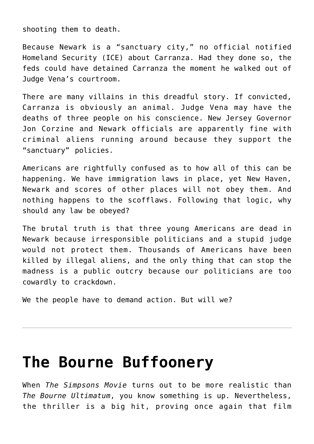shooting them to death.

Because Newark is a "sanctuary city," no official notified Homeland Security (ICE) about Carranza. Had they done so, the feds could have detained Carranza the moment he walked out of Judge Vena's courtroom.

There are many villains in this dreadful story. If convicted, Carranza is obviously an animal. Judge Vena may have the deaths of three people on his conscience. New Jersey Governor Jon Corzine and Newark officials are apparently fine with criminal aliens running around because they support the "sanctuary" policies.

Americans are rightfully confused as to how all of this can be happening. We have immigration laws in place, yet New Haven, Newark and scores of other places will not obey them. And nothing happens to the scofflaws. Following that logic, why should any law be obeyed?

The brutal truth is that three young Americans are dead in Newark because irresponsible politicians and a stupid judge would not protect them. Thousands of Americans have been killed by illegal aliens, and the only thing that can stop the madness is a public outcry because our politicians are too cowardly to crackdown.

We the people have to demand action. But will we?

#### **[The Bourne Buffoonery](https://bernardgoldberg.com/hillarys-ordeal/)**

When *The Simpsons Movie* turns out to be more realistic than *The Bourne Ultimatum*, you know something is up. Nevertheless, the thriller is a big hit, proving once again that film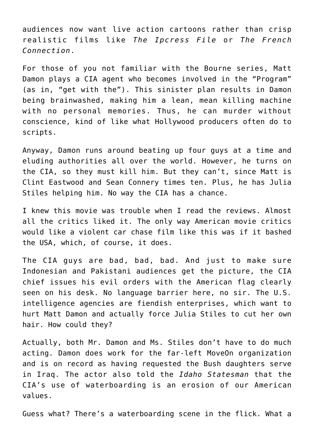audiences now want live action cartoons rather than crisp realistic films like *The Ipcress File* or *The French Connection*.

For those of you not familiar with the Bourne series, Matt Damon plays a CIA agent who becomes involved in the "Program" (as in, "get with the"). This sinister plan results in Damon being brainwashed, making him a lean, mean killing machine with no personal memories. Thus, he can murder without conscience, kind of like what Hollywood producers often do to scripts.

Anyway, Damon runs around beating up four guys at a time and eluding authorities all over the world. However, he turns on the CIA, so they must kill him. But they can't, since Matt is Clint Eastwood and Sean Connery times ten. Plus, he has Julia Stiles helping him. No way the CIA has a chance.

I knew this movie was trouble when I read the reviews. Almost all the critics liked it. The only way American movie critics would like a violent car chase film like this was if it bashed the USA, which, of course, it does.

The CIA guys are bad, bad, bad. And just to make sure Indonesian and Pakistani audiences get the picture, the CIA chief issues his evil orders with the American flag clearly seen on his desk. No language barrier here, no sir. The U.S. intelligence agencies are fiendish enterprises, which want to hurt Matt Damon and actually force Julia Stiles to cut her own hair. How could they?

Actually, both Mr. Damon and Ms. Stiles don't have to do much acting. Damon does work for the far-left MoveOn organization and is on record as having requested the Bush daughters serve in Iraq. The actor also told the *Idaho Statesman* that the CIA's use of waterboarding is an erosion of our American values.

Guess what? There's a waterboarding scene in the flick. What a